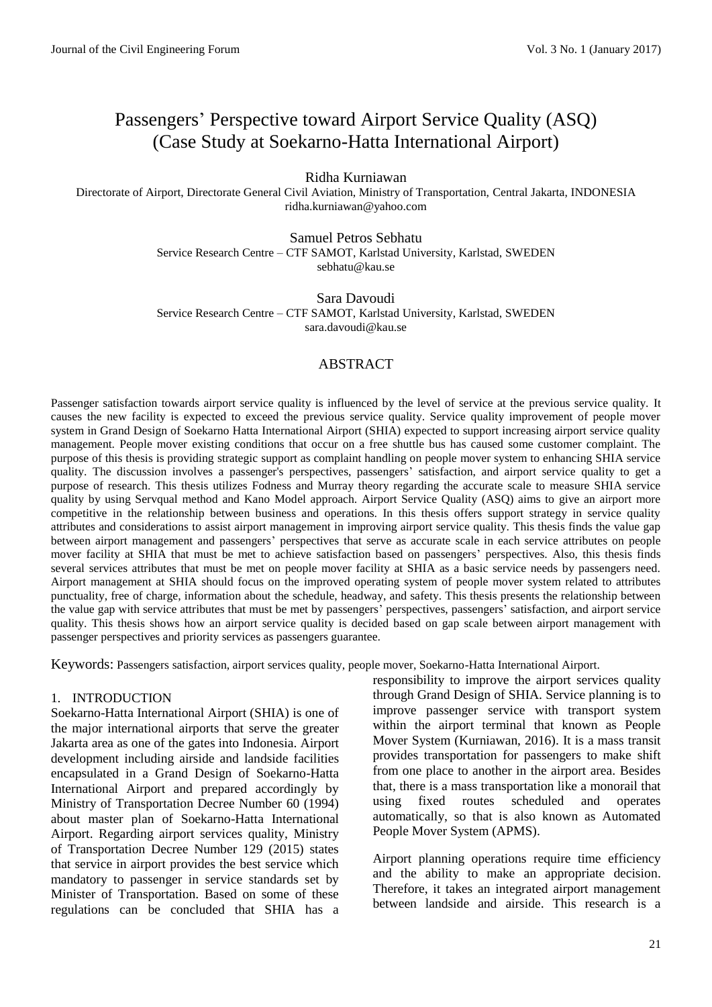# Passengers' Perspective toward Airport Service Quality (ASQ) (Case Study at Soekarno-Hatta International Airport)

Ridha Kurniawan

Directorate of Airport, Directorate General Civil Aviation, Ministry of Transportation, Central Jakarta, INDONESIA ridha.kurniawan@yahoo.com

> Samuel Petros Sebhatu Service Research Centre – CTF SAMOT, Karlstad University, Karlstad, SWEDEN sebhatu@kau.se

> Sara Davoudi Service Research Centre – CTF SAMOT, Karlstad University, Karlstad, SWEDEN sara.davoudi@kau.se

## ABSTRACT

Passenger satisfaction towards airport service quality is influenced by the level of service at the previous service quality. It causes the new facility is expected to exceed the previous service quality. Service quality improvement of people mover system in Grand Design of Soekarno Hatta International Airport (SHIA) expected to support increasing airport service quality management. People mover existing conditions that occur on a free shuttle bus has caused some customer complaint. The purpose of this thesis is providing strategic support as complaint handling on people mover system to enhancing SHIA service quality. The discussion involves a passenger's perspectives, passengers' satisfaction, and airport service quality to get a purpose of research. This thesis utilizes Fodness and Murray theory regarding the accurate scale to measure SHIA service quality by using Servqual method and Kano Model approach. Airport Service Quality (ASQ) aims to give an airport more competitive in the relationship between business and operations. In this thesis offers support strategy in service quality attributes and considerations to assist airport management in improving airport service quality. This thesis finds the value gap between airport management and passengers' perspectives that serve as accurate scale in each service attributes on people mover facility at SHIA that must be met to achieve satisfaction based on passengers' perspectives. Also, this thesis finds several services attributes that must be met on people mover facility at SHIA as a basic service needs by passengers need. Airport management at SHIA should focus on the improved operating system of people mover system related to attributes punctuality, free of charge, information about the schedule, headway, and safety. This thesis presents the relationship between the value gap with service attributes that must be met by passengers' perspectives, passengers' satisfaction, and airport service quality. This thesis shows how an airport service quality is decided based on gap scale between airport management with passenger perspectives and priority services as passengers guarantee.

Keywords: Passengers satisfaction, airport services quality, people mover, Soekarno-Hatta International Airport.

#### 1. INTRODUCTION

Soekarno-Hatta International Airport (SHIA) is one of the major international airports that serve the greater Jakarta area as one of the gates into Indonesia. Airport development including airside and landside facilities encapsulated in a Grand Design of Soekarno-Hatta International Airport and prepared accordingly by Ministry of Transportation Decree Number 60 (1994) about master plan of Soekarno-Hatta International Airport. Regarding airport services quality, Ministry of Transportation Decree Number 129 (2015) states that service in airport provides the best service which mandatory to passenger in service standards set by Minister of Transportation. Based on some of these regulations can be concluded that SHIA has a responsibility to improve the airport services quality through Grand Design of SHIA. Service planning is to improve passenger service with transport system within the airport terminal that known as People Mover System (Kurniawan, 2016). It is a mass transit provides transportation for passengers to make shift from one place to another in the airport area. Besides that, there is a mass transportation like a monorail that using fixed routes scheduled and operates automatically, so that is also known as Automated People Mover System (APMS).

Airport planning operations require time efficiency and the ability to make an appropriate decision. Therefore, it takes an integrated airport management between landside and airside. This research is a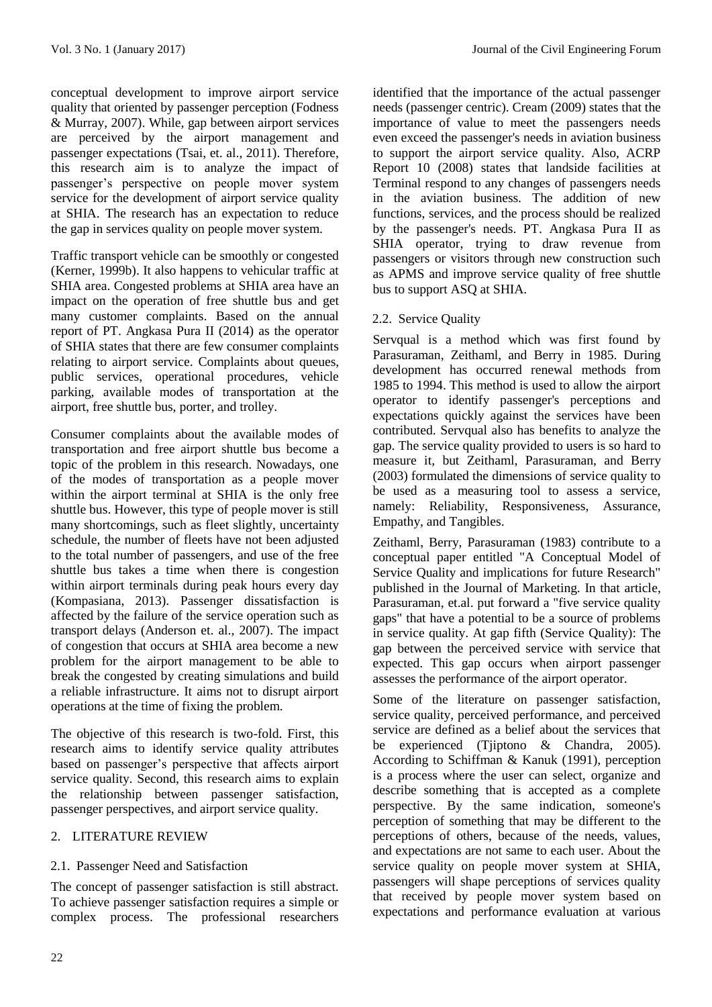conceptual development to improve airport service quality that oriented by passenger perception (Fodness & Murray, 2007). While, gap between airport services are perceived by the airport management and passenger expectations (Tsai, et. al., 2011). Therefore, this research aim is to analyze the impact of passenger's perspective on people mover system service for the development of airport service quality at SHIA. The research has an expectation to reduce the gap in services quality on people mover system.

Traffic transport vehicle can be smoothly or congested (Kerner, 1999b). It also happens to vehicular traffic at SHIA area. Congested problems at SHIA area have an impact on the operation of free shuttle bus and get many customer complaints. Based on the annual report of PT. Angkasa Pura II (2014) as the operator of SHIA states that there are few consumer complaints relating to airport service. Complaints about queues, public services, operational procedures, vehicle parking, available modes of transportation at the airport, free shuttle bus, porter, and trolley.

Consumer complaints about the available modes of transportation and free airport shuttle bus become a topic of the problem in this research. Nowadays, one of the modes of transportation as a people mover within the airport terminal at SHIA is the only free shuttle bus. However, this type of people mover is still many shortcomings, such as fleet slightly, uncertainty schedule, the number of fleets have not been adjusted to the total number of passengers, and use of the free shuttle bus takes a time when there is congestion within airport terminals during peak hours every day (Kompasiana, 2013). Passenger dissatisfaction is affected by the failure of the service operation such as transport delays (Anderson et. al., 2007). The impact of congestion that occurs at SHIA area become a new problem for the airport management to be able to break the congested by creating simulations and build a reliable infrastructure. It aims not to disrupt airport operations at the time of fixing the problem.

The objective of this research is two-fold. First, this research aims to identify service quality attributes based on passenger's perspective that affects airport service quality. Second, this research aims to explain the relationship between passenger satisfaction, passenger perspectives, and airport service quality.

## 2. LITERATURE REVIEW

# 2.1. Passenger Need and Satisfaction

The concept of passenger satisfaction is still abstract. To achieve passenger satisfaction requires a simple or complex process. The professional researchers identified that the importance of the actual passenger needs (passenger centric). Cream (2009) states that the importance of value to meet the passengers needs even exceed the passenger's needs in aviation business to support the airport service quality. Also, ACRP Report 10 (2008) states that landside facilities at Terminal respond to any changes of passengers needs in the aviation business. The addition of new functions, services, and the process should be realized by the passenger's needs. PT. Angkasa Pura II as SHIA operator, trying to draw revenue from passengers or visitors through new construction such as APMS and improve service quality of free shuttle bus to support ASQ at SHIA.

# 2.2. Service Quality

Servqual is a method which was first found by Parasuraman, Zeithaml, and Berry in 1985. During development has occurred renewal methods from 1985 to 1994. This method is used to allow the airport operator to identify passenger's perceptions and expectations quickly against the services have been contributed. Servqual also has benefits to analyze the gap. The service quality provided to users is so hard to measure it, but Zeithaml, Parasuraman, and Berry (2003) formulated the dimensions of service quality to be used as a measuring tool to assess a service, namely: Reliability, Responsiveness, Assurance, Empathy, and Tangibles.

Zeithaml, Berry, Parasuraman (1983) contribute to a conceptual paper entitled "A Conceptual Model of Service Quality and implications for future Research" published in the Journal of Marketing. In that article, Parasuraman, et.al. put forward a "five service quality gaps" that have a potential to be a source of problems in service quality. At gap fifth (Service Quality): The gap between the perceived service with service that expected. This gap occurs when airport passenger assesses the performance of the airport operator.

Some of the literature on passenger satisfaction, service quality, perceived performance, and perceived service are defined as a belief about the services that be experienced (Tjiptono & Chandra, 2005). According to Schiffman & Kanuk (1991), perception is a process where the user can select, organize and describe something that is accepted as a complete perspective. By the same indication, someone's perception of something that may be different to the perceptions of others, because of the needs, values, and expectations are not same to each user. About the service quality on people mover system at SHIA, passengers will shape perceptions of services quality that received by people mover system based on expectations and performance evaluation at various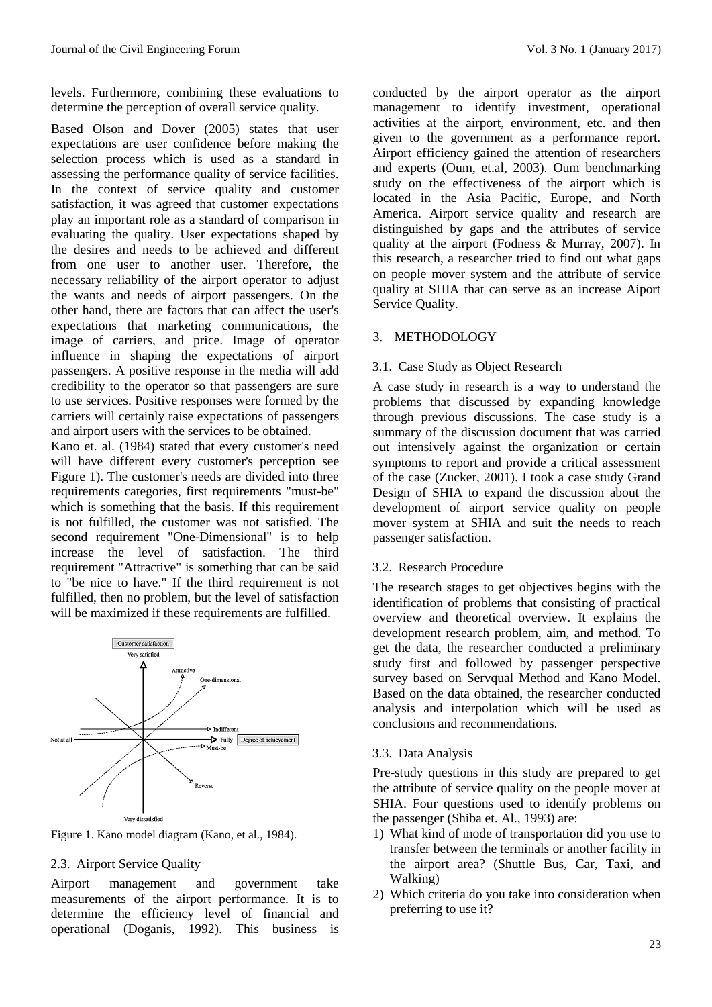levels. Furthermore, combining these evaluations to determine the perception of overall service quality.

Based Olson and Dover (2005) states that user expectations are user confidence before making the selection process which is used as a standard in assessing the performance quality of service facilities. In the context of service quality and customer satisfaction, it was agreed that customer expectations play an important role as a standard of comparison in evaluating the quality. User expectations shaped by the desires and needs to be achieved and different from one user to another user. Therefore, the necessary reliability of the airport operator to adjust the wants and needs of airport passengers. On the other hand, there are factors that can affect the user's expectations that marketing communications, the image of carriers, and price. Image of operator influence in shaping the expectations of airport passengers. A positive response in the media will add credibility to the operator so that passengers are sure to use services. Positive responses were formed by the carriers will certainly raise expectations of passengers and airport users with the services to be obtained.

Kano et. al. (1984) stated that every customer's need will have different every customer's perception see Figure 1). The customer's needs are divided into three requirements categories, first requirements "must-be" which is something that the basis. If this requirement is not fulfilled, the customer was not satisfied. The second requirement "One-Dimensional" is to help increase the level of satisfaction. The third requirement "Attractive" is something that can be said to "be nice to have." If the third requirement is not fulfilled, then no problem, but the level of satisfaction will be maximized if these requirements are fulfilled.



Figure 1. Kano model diagram (Kano, et al., 1984).

## 2.3. Airport Service Quality

Airport management and government take measurements of the airport performance. It is to determine the efficiency level of financial and operational (Doganis, 1992). This business is

conducted by the airport operator as the airport management to identify investment, operational activities at the airport, environment, etc. and then given to the government as a performance report. Airport efficiency gained the attention of researchers and experts (Oum, et.al, 2003). Oum benchmarking study on the effectiveness of the airport which is located in the Asia Pacific, Europe, and North America. Airport service quality and research are distinguished by gaps and the attributes of service quality at the airport (Fodness & Murray, 2007). In this research, a researcher tried to find out what gaps on people mover system and the attribute of service quality at SHIA that can serve as an increase Aiport Service Quality.

## 3. METHODOLOGY

#### 3.1. Case Study as Object Research

A case study in research is a way to understand the problems that discussed by expanding knowledge through previous discussions. The case study is a summary of the discussion document that was carried out intensively against the organization or certain symptoms to report and provide a critical assessment of the case (Zucker, 2001). I took a case study Grand Design of SHIA to expand the discussion about the development of airport service quality on people mover system at SHIA and suit the needs to reach passenger satisfaction.

## 3.2. Research Procedure

The research stages to get objectives begins with the identification of problems that consisting of practical overview and theoretical overview. It explains the development research problem, aim, and method. To get the data, the researcher conducted a preliminary study first and followed by passenger perspective survey based on Servqual Method and Kano Model. Based on the data obtained, the researcher conducted analysis and interpolation which will be used as conclusions and recommendations.

## 3.3. Data Analysis

Pre-study questions in this study are prepared to get the attribute of service quality on the people mover at SHIA. Four questions used to identify problems on the passenger (Shiba et. Al., 1993) are:

- 1) What kind of mode of transportation did you use to transfer between the terminals or another facility in the airport area? (Shuttle Bus, Car, Taxi, and Walking)
- 2) Which criteria do you take into consideration when preferring to use it?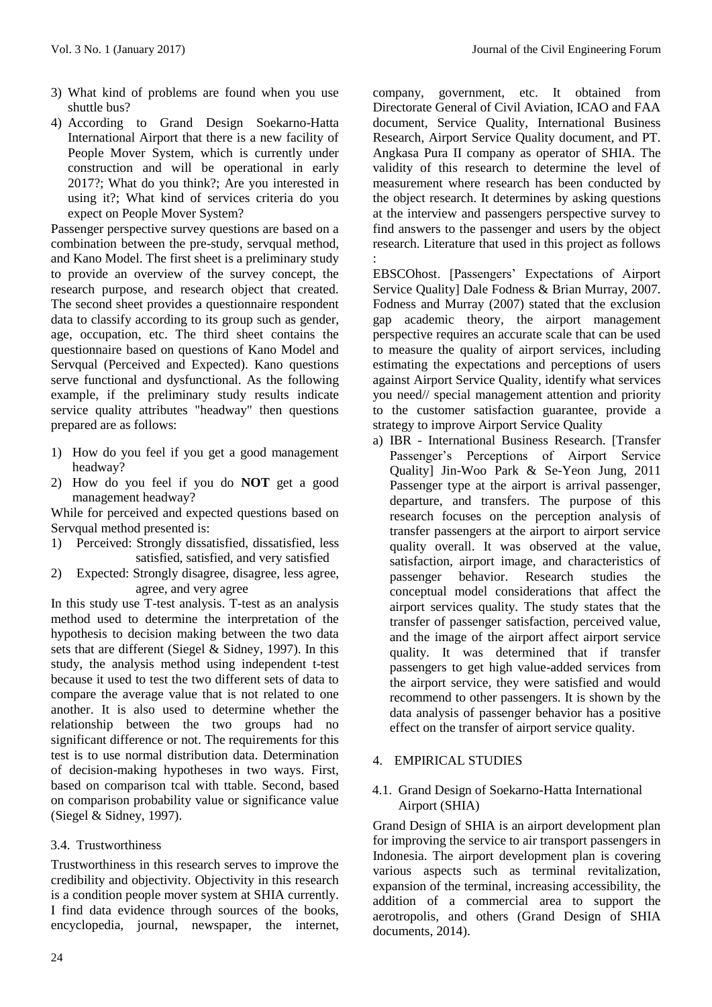- 3) What kind of problems are found when you use shuttle bus?
- 4) According to Grand Design Soekarno-Hatta International Airport that there is a new facility of People Mover System, which is currently under construction and will be operational in early 2017?; What do you think?; Are you interested in using it?; What kind of services criteria do you expect on People Mover System?

Passenger perspective survey questions are based on a combination between the pre-study, servqual method, and Kano Model. The first sheet is a preliminary study to provide an overview of the survey concept, the research purpose, and research object that created. The second sheet provides a questionnaire respondent data to classify according to its group such as gender, age, occupation, etc. The third sheet contains the questionnaire based on questions of Kano Model and Servqual (Perceived and Expected). Kano questions serve functional and dysfunctional. As the following example, if the preliminary study results indicate service quality attributes "headway" then questions prepared are as follows:

- 1) How do you feel if you get a good management headway?
- 2) How do you feel if you do **NOT** get a good management headway?

While for perceived and expected questions based on Servqual method presented is:

- 1) Perceived: Strongly dissatisfied, dissatisfied, less satisfied, satisfied, and very satisfied
- 2) Expected: Strongly disagree, disagree, less agree, agree, and very agree

In this study use T-test analysis. T-test as an analysis method used to determine the interpretation of the hypothesis to decision making between the two data sets that are different (Siegel & Sidney, 1997). In this study, the analysis method using independent t-test because it used to test the two different sets of data to compare the average value that is not related to one another. It is also used to determine whether the relationship between the two groups had no significant difference or not. The requirements for this test is to use normal distribution data. Determination of decision-making hypotheses in two ways. First, based on comparison tcal with ttable. Second, based on comparison probability value or significance value (Siegel & Sidney, 1997).

# 3.4. Trustworthiness

Trustworthiness in this research serves to improve the credibility and objectivity. Objectivity in this research is a condition people mover system at SHIA currently. I find data evidence through sources of the books, encyclopedia, journal, newspaper, the internet, company, government, etc. It obtained from Directorate General of Civil Aviation, ICAO and FAA document, Service Quality, International Business Research, Airport Service Quality document, and PT. Angkasa Pura II company as operator of SHIA. The validity of this research to determine the level of measurement where research has been conducted by the object research. It determines by asking questions at the interview and passengers perspective survey to find answers to the passenger and users by the object research. Literature that used in this project as follows :

EBSCOhost. [Passengers' Expectations of Airport Service Quality] Dale Fodness & Brian Murray, 2007. Fodness and Murray (2007) stated that the exclusion gap academic theory, the airport management perspective requires an accurate scale that can be used to measure the quality of airport services, including estimating the expectations and perceptions of users against Airport Service Quality, identify what services you need// special management attention and priority to the customer satisfaction guarantee, provide a strategy to improve Airport Service Quality

a) IBR - International Business Research. [Transfer Passenger's Perceptions of Airport Service Quality] Jin-Woo Park & Se-Yeon Jung, 2011 Passenger type at the airport is arrival passenger, departure, and transfers. The purpose of this research focuses on the perception analysis of transfer passengers at the airport to airport service quality overall. It was observed at the value, satisfaction, airport image, and characteristics of passenger behavior. Research studies the conceptual model considerations that affect the airport services quality. The study states that the transfer of passenger satisfaction, perceived value, and the image of the airport affect airport service quality. It was determined that if transfer passengers to get high value-added services from the airport service, they were satisfied and would recommend to other passengers. It is shown by the data analysis of passenger behavior has a positive effect on the transfer of airport service quality.

# 4. EMPIRICAL STUDIES

## 4.1. Grand Design of Soekarno-Hatta International Airport (SHIA)

Grand Design of SHIA is an airport development plan for improving the service to air transport passengers in Indonesia. The airport development plan is covering various aspects such as terminal revitalization, expansion of the terminal, increasing accessibility, the addition of a commercial area to support the aerotropolis, and others (Grand Design of SHIA documents, 2014).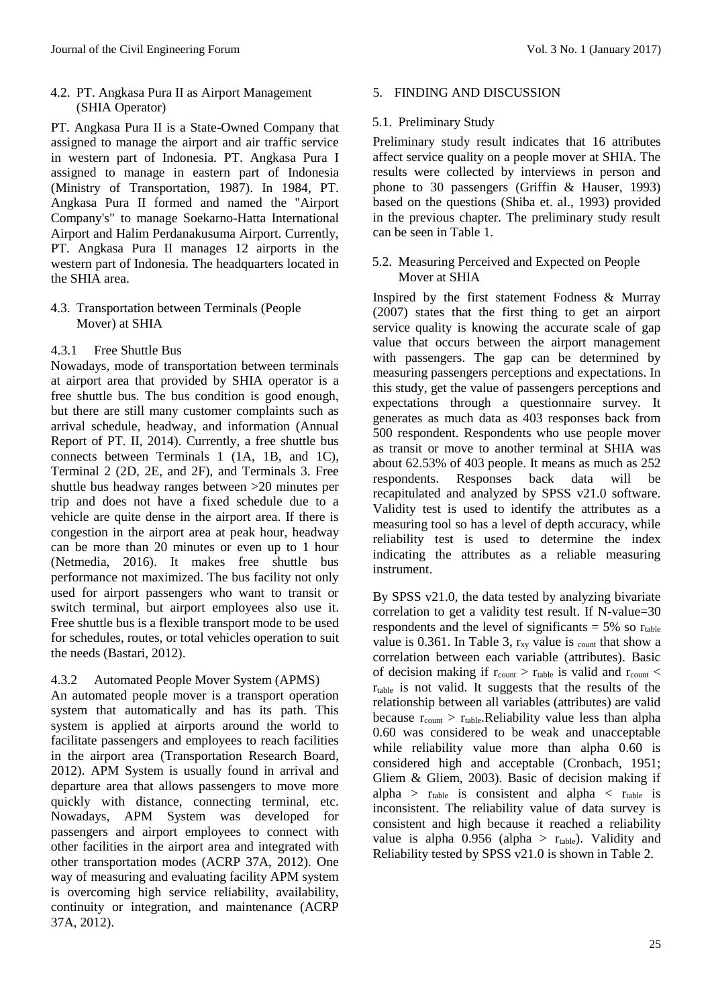4.2. PT. Angkasa Pura II as Airport Management (SHIA Operator)

PT. Angkasa Pura II is a State-Owned Company that assigned to manage the airport and air traffic service in western part of Indonesia. PT. Angkasa Pura I assigned to manage in eastern part of Indonesia (Ministry of Transportation, 1987). In 1984, PT. Angkasa Pura II formed and named the "Airport Company's" to manage Soekarno-Hatta International Airport and Halim Perdanakusuma Airport. Currently, PT. Angkasa Pura II manages 12 airports in the western part of Indonesia. The headquarters located in the SHIA area.

4.3. Transportation between Terminals (People Mover) at SHIA

# 4.3.1 Free Shuttle Bus

Nowadays, mode of transportation between terminals at airport area that provided by SHIA operator is a free shuttle bus. The bus condition is good enough, but there are still many customer complaints such as arrival schedule, headway, and information (Annual Report of PT. II, 2014). Currently, a free shuttle bus connects between Terminals 1 (1A, 1B, and 1C), Terminal 2 (2D, 2E, and 2F), and Terminals 3. Free shuttle bus headway ranges between >20 minutes per trip and does not have a fixed schedule due to a vehicle are quite dense in the airport area. If there is congestion in the airport area at peak hour, headway can be more than 20 minutes or even up to 1 hour (Netmedia, 2016). It makes free shuttle bus performance not maximized. The bus facility not only used for airport passengers who want to transit or switch terminal, but airport employees also use it. Free shuttle bus is a flexible transport mode to be used for schedules, routes, or total vehicles operation to suit the needs (Bastari, 2012).

## 4.3.2 Automated People Mover System (APMS)

An automated people mover is a transport operation system that automatically and has its path. This system is applied at airports around the world to facilitate passengers and employees to reach facilities in the airport area (Transportation Research Board, 2012). APM System is usually found in arrival and departure area that allows passengers to move more quickly with distance, connecting terminal, etc. Nowadays, APM System was developed for passengers and airport employees to connect with other facilities in the airport area and integrated with other transportation modes (ACRP 37A, 2012). One way of measuring and evaluating facility APM system is overcoming high service reliability, availability, continuity or integration, and maintenance (ACRP 37A, 2012).

# 5. FINDING AND DISCUSSION

# 5.1. Preliminary Study

Preliminary study result indicates that 16 attributes affect service quality on a people mover at SHIA. The results were collected by interviews in person and phone to 30 passengers (Griffin & Hauser, 1993) based on the questions (Shiba et. al., 1993) provided in the previous chapter. The preliminary study result can be seen in Table 1.

## 5.2. Measuring Perceived and Expected on People Mover at SHIA

Inspired by the first statement Fodness & Murray (2007) states that the first thing to get an airport service quality is knowing the accurate scale of gap value that occurs between the airport management with passengers. The gap can be determined by measuring passengers perceptions and expectations. In this study, get the value of passengers perceptions and expectations through a questionnaire survey. It generates as much data as 403 responses back from 500 respondent. Respondents who use people mover as transit or move to another terminal at SHIA was about 62.53% of 403 people. It means as much as 252 respondents. Responses back data will be recapitulated and analyzed by SPSS v21.0 software. Validity test is used to identify the attributes as a measuring tool so has a level of depth accuracy, while reliability test is used to determine the index indicating the attributes as a reliable measuring instrument.

By SPSS v21.0, the data tested by analyzing bivariate correlation to get a validity test result. If N-value=30 respondents and the level of significants  $= 5\%$  so  $r_{table}$ value is 0.361. In Table 3,  $r_{xy}$  value is  $_{\text{count}}$  that show a correlation between each variable (attributes). Basic of decision making if  $r_{\text{count}} > r_{\text{table}}$  is valid and  $r_{\text{count}} <$  $r_{table}$  is not valid. It suggests that the results of the relationship between all variables (attributes) are valid because  $r_{\text{count}} > r_{\text{table}}$ . Reliability value less than alpha 0.60 was considered to be weak and unacceptable while reliability value more than alpha 0.60 is considered high and acceptable (Cronbach, 1951; Gliem & Gliem, 2003). Basic of decision making if alpha >  $r_{table}$  is consistent and alpha <  $r_{table}$  is inconsistent. The reliability value of data survey is consistent and high because it reached a reliability value is alpha  $0.956$  (alpha >  $r_{table}$ ). Validity and Reliability tested by SPSS v21.0 is shown in Table 2.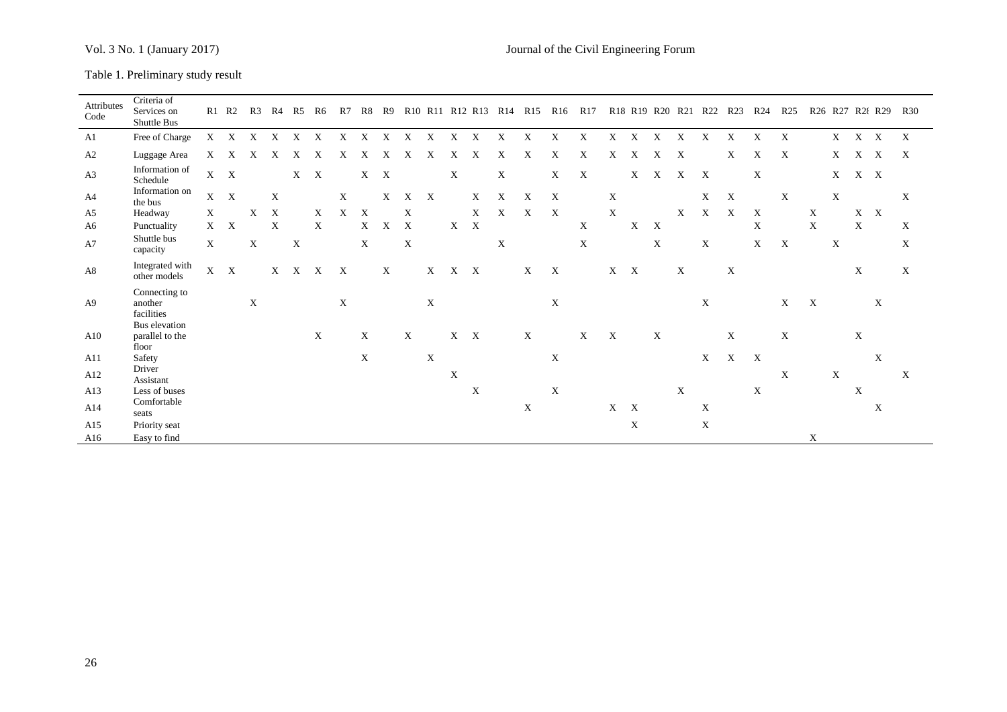Table 1. Preliminary study result

| Attributes<br>Code | Criteria of<br>Services on<br>Shuttle Bus |                           | $R1$ $R2$                 | R3          |             | R4 R5 R6    |                           | R7                        |                           | R8 R9 |                           |                           |                           |             |                           | R <sub>10</sub> R <sub>11</sub> R <sub>12</sub> R <sub>13</sub> R <sub>14</sub> R <sub>15</sub> R <sub>16</sub> |                           | R17                       |                           |                           |                           |                           |                           | R <sub>18</sub> R <sub>19</sub> R <sub>20</sub> R <sub>21</sub> R <sub>22</sub> R <sub>23</sub> | R24          | R25          |              |                           |             | R <sub>26</sub> R <sub>27</sub> R <sub>28</sub> R <sub>29</sub> R <sub>30</sub> |                           |
|--------------------|-------------------------------------------|---------------------------|---------------------------|-------------|-------------|-------------|---------------------------|---------------------------|---------------------------|-------|---------------------------|---------------------------|---------------------------|-------------|---------------------------|-----------------------------------------------------------------------------------------------------------------|---------------------------|---------------------------|---------------------------|---------------------------|---------------------------|---------------------------|---------------------------|-------------------------------------------------------------------------------------------------|--------------|--------------|--------------|---------------------------|-------------|---------------------------------------------------------------------------------|---------------------------|
| A1                 | Free of Charge                            | $\boldsymbol{\mathrm{X}}$ | X                         | X           | X           | X           | X                         | X                         | X                         | X     | X                         | X                         | X                         | X           | X                         | X                                                                                                               | X                         | X                         | X                         | X                         | X                         | X                         | X                         | X                                                                                               | X            | X            |              | X                         | $X \tX$     |                                                                                 | $\boldsymbol{\mathrm{X}}$ |
| A2                 | Luggage Area                              | X                         | X                         | Х           | X           | Х           | X                         | X                         | X                         | X     | X                         | X                         | X                         | X           | X                         | X                                                                                                               | X                         | X                         | X                         | X                         | X                         | X                         |                           | X                                                                                               | X            | X            |              | X                         | X           | $\boldsymbol{\mathrm{X}}$                                                       | $\boldsymbol{\mathrm{X}}$ |
| A <sub>3</sub>     | Information of<br>Schedule                | X                         | $\boldsymbol{\mathrm{X}}$ |             |             | X           | X                         |                           | $X$ X                     |       |                           |                           | $\boldsymbol{\mathrm{X}}$ |             | $\boldsymbol{\mathrm{X}}$ |                                                                                                                 | X                         | $\boldsymbol{\mathrm{X}}$ |                           | $\mathbf X$               | X                         | X                         | $\boldsymbol{\mathrm{X}}$ |                                                                                                 | X            |              |              | X                         | X X         |                                                                                 |                           |
| A4                 | Information on<br>the bus                 | X                         | $\boldsymbol{\mathrm{X}}$ |             | X           |             |                           | $\mathbf X$               |                           | X     | X                         | X                         |                           | X           | $\boldsymbol{\mathrm{X}}$ | X                                                                                                               | $\mathbf{X}$              |                           | $\boldsymbol{\mathrm{X}}$ |                           |                           |                           | X                         | $\boldsymbol{\mathrm{X}}$                                                                       |              | X            |              | X                         |             |                                                                                 | X                         |
| A5                 | Headway                                   | X                         |                           | X           | $\mathbf X$ |             | $\mathbf{X}$              | X                         | $\boldsymbol{\mathrm{X}}$ |       | $\mathbf X$               |                           |                           | X           | $\mathbf{X}$              | $\boldsymbol{\mathrm{X}}$                                                                                       | $\mathbf{X}$              |                           | X                         |                           |                           | X                         | $\boldsymbol{\mathrm{X}}$ | $\mathbf{X}$                                                                                    | $\mathbf{X}$ |              | X            |                           | $X \tX$     |                                                                                 |                           |
| A6                 | Punctuality                               | $\mathbf{X}$              | $\boldsymbol{\mathrm{X}}$ |             | $\mathbf X$ |             | $\mathbf{X}$              |                           | X                         | X     | X                         |                           | $\mathbf{X}-\mathbf{X}$   |             |                           |                                                                                                                 |                           | $\mathbf X$               |                           | X                         | $\boldsymbol{\mathrm{X}}$ |                           |                           |                                                                                                 | X            |              | $\mathbf X$  |                           | X           |                                                                                 | $\boldsymbol{\mathrm{X}}$ |
| A7                 | Shuttle bus<br>capacity                   | X                         |                           | $\mathbf X$ |             | $\mathbf X$ |                           |                           | $\mathbf X$               |       | $\boldsymbol{\mathrm{X}}$ |                           |                           |             | $\mathbf X$               |                                                                                                                 |                           | X                         |                           |                           | X                         |                           | $\boldsymbol{\mathrm{X}}$ |                                                                                                 | X            | $\mathbf{X}$ |              | X                         |             |                                                                                 | $\boldsymbol{\mathrm{X}}$ |
| A8                 | Integrated with<br>other models           | $\mathbf X$               | $\boldsymbol{\mathrm{X}}$ |             |             | $X$ $X$ $X$ |                           | $\boldsymbol{\mathrm{X}}$ |                           | X     |                           | X                         | $X \tX$                   |             |                           | $\mathbf X$                                                                                                     | $\boldsymbol{\mathrm{X}}$ |                           | $X$ X                     |                           |                           | $\boldsymbol{\mathrm{X}}$ |                           | $\mathbf X$                                                                                     |              |              |              |                           | X           |                                                                                 | X                         |
| A9                 | Connecting to<br>another<br>facilities    |                           |                           | X           |             |             |                           | X                         |                           |       |                           | X                         |                           |             |                           |                                                                                                                 | $\boldsymbol{\mathrm{X}}$ |                           |                           |                           |                           |                           | X                         |                                                                                                 |              | X            | $\mathbf{X}$ |                           |             | $\mathbf{X}$                                                                    |                           |
| A10                | Bus elevation<br>parallel to the<br>floor |                           |                           |             |             |             | $\boldsymbol{\mathrm{X}}$ |                           | X                         |       | $\boldsymbol{\mathrm{X}}$ |                           | $X$ X                     |             |                           | $\boldsymbol{\mathrm{X}}$                                                                                       |                           | X                         | $\boldsymbol{\mathrm{X}}$ |                           | X                         |                           |                           | $\mathbf X$                                                                                     |              | $\mathbf X$  |              |                           | $\mathbf X$ |                                                                                 |                           |
| A11                | Safety                                    |                           |                           |             |             |             |                           |                           | $\mathbf X$               |       |                           | $\boldsymbol{\mathrm{X}}$ |                           |             |                           |                                                                                                                 | $\boldsymbol{\mathrm{X}}$ |                           |                           |                           |                           |                           | $\mathbf{X}$              | $\mathbf{X}$                                                                                    | X            |              |              |                           |             | $\mathbf{X}$                                                                    |                           |
| A12                | Driver<br>Assistant                       |                           |                           |             |             |             |                           |                           |                           |       |                           |                           | X                         |             |                           |                                                                                                                 |                           |                           |                           |                           |                           |                           |                           |                                                                                                 |              | X            |              | $\boldsymbol{\mathrm{X}}$ |             |                                                                                 | $\boldsymbol{\mathrm{X}}$ |
| A13                | Less of buses                             |                           |                           |             |             |             |                           |                           |                           |       |                           |                           |                           | $\mathbf X$ |                           |                                                                                                                 | $\mathbf X$               |                           |                           |                           |                           | $\mathbf X$               |                           |                                                                                                 | X            |              |              |                           | $\mathbf X$ |                                                                                 |                           |
| A14                | Comfortable<br>seats                      |                           |                           |             |             |             |                           |                           |                           |       |                           |                           |                           |             |                           | X                                                                                                               |                           |                           | X                         | $\boldsymbol{\mathrm{X}}$ |                           |                           | X                         |                                                                                                 |              |              |              |                           |             | X                                                                               |                           |
| A15                | Priority seat                             |                           |                           |             |             |             |                           |                           |                           |       |                           |                           |                           |             |                           |                                                                                                                 |                           |                           |                           | $\mathbf X$               |                           |                           | X                         |                                                                                                 |              |              |              |                           |             |                                                                                 |                           |
| A16                | Easy to find                              |                           |                           |             |             |             |                           |                           |                           |       |                           |                           |                           |             |                           |                                                                                                                 |                           |                           |                           |                           |                           |                           |                           |                                                                                                 |              |              | X            |                           |             |                                                                                 |                           |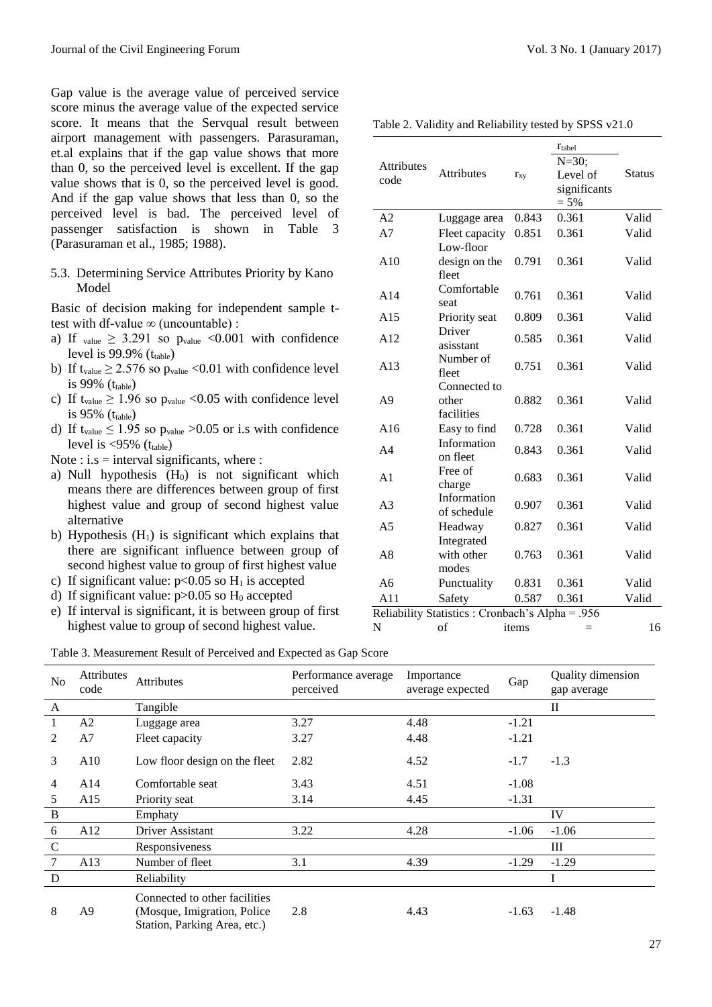Gap value is the average value of perceived service score minus the average value of the expected service score. It means that the Servqual result between airport management with passengers. Parasuraman, et.al explains that if the gap value shows that more than 0, so the perceived level is excellent. If the gap value shows that is 0, so the perceived level is good. And if the gap value shows that less than 0, so the perceived level is bad. The perceived level of passenger satisfaction is shown in Table 3 (Parasuraman et al., 1985; 1988).

5.3. Determining Service Attributes Priority by Kano Model

Basic of decision making for independent sample ttest with df-value  $\infty$  (uncountable) :

- a) If value  $\geq$  3.291 so pvalue <0.001 with confidence level is  $99.9\%$  ( $t_{table}$ )
- b) If  $t_{value} \ge 2.576$  so  $p_{value} < 0.01$  with confidence level is 99%  $(t_{table})$
- c) If t<sub>value</sub>  $\geq 1.96$  so  $p_{value} < 0.05$  with confidence level is  $95\%$  ( $t_{table}$ )
- d) If t<sub>value</sub>  $\leq 1.95$  so  $p_{value} > 0.05$  or i.s with confidence level is  $\langle 95\%$  (t<sub>table</sub>)
- Note : i.s  $=$  interval significants, where :
- a) Null hypothesis  $(H_0)$  is not significant which means there are differences between group of first highest value and group of second highest value alternative
- b) Hypothesis  $(H<sub>1</sub>)$  is significant which explains that there are significant influence between group of second highest value to group of first highest value
- c) If significant value:  $p<0.05$  so H<sub>1</sub> is accepted
- d) If significant value:  $p > 0.05$  so  $H_0$  accepted
- e) If interval is significant, it is between group of first highest value to group of second highest value.

Table 2. Validity and Reliability tested by SPSS v21.0

| <b>Attributes</b><br>code | <b>Attributes</b>                               | $r_{xy}$ | $r_{\text{table}}$<br>$N = 30$ ;<br>Level of<br>significants<br>$= 5\%$ | <b>Status</b> |
|---------------------------|-------------------------------------------------|----------|-------------------------------------------------------------------------|---------------|
| A <sub>2</sub>            | Luggage area                                    | 0.843    | 0.361                                                                   | Valid         |
| A7                        | Fleet capacity                                  | 0.851    | 0.361                                                                   | Valid         |
|                           | Low-floor                                       |          |                                                                         |               |
| A10                       | design on the<br>fleet                          | 0.791    | 0.361                                                                   | Valid         |
| A14                       | Comfortable<br>seat                             | 0.761    | 0.361                                                                   | Valid         |
| A15                       | Priority seat                                   | 0.809    | 0.361                                                                   | Valid         |
| A12                       | Driver<br>asisstant                             | 0.585    | 0.361                                                                   | Valid         |
| A13                       | Number of<br>fleet                              | 0.751    | 0.361                                                                   | Valid         |
| A <sub>9</sub>            | Connected to<br>other<br>facilities             | 0.882    | 0.361                                                                   | Valid         |
| A16                       | Easy to find                                    | 0.728    | 0.361                                                                   | Valid         |
| A <sub>4</sub>            | Information<br>on fleet                         | 0.843    | 0.361                                                                   | Valid         |
| A <sub>1</sub>            | Free of<br>charge                               | 0.683    | 0.361                                                                   | Valid         |
| A <sub>3</sub>            | Information<br>of schedule                      | 0.907    | 0.361                                                                   | Valid         |
| A <sub>5</sub>            | Headway                                         | 0.827    | 0.361                                                                   | Valid         |
| A8                        | Integrated<br>with other<br>modes               | 0.763    | 0.361                                                                   | Valid         |
| A <sub>6</sub>            | Punctuality                                     | 0.831    | 0.361                                                                   | Valid         |
| A11                       | Safety                                          | 0.587    | 0.361                                                                   | Valid         |
|                           | Reliability Statistics: Cronbach's Alpha = .956 |          |                                                                         |               |
| N                         | of                                              | items    | $=$                                                                     | 16            |

#### Table 3. Measurement Result of Perceived and Expected as Gap Score

| N <sub>o</sub> | <b>Attributes</b><br>code | <b>Attributes</b>                                                                             | Performance average<br>perceived | Importance<br>average expected | Gap     | Quality dimension<br>gap average |
|----------------|---------------------------|-----------------------------------------------------------------------------------------------|----------------------------------|--------------------------------|---------|----------------------------------|
| $\mathbf{A}$   |                           | Tangible                                                                                      |                                  |                                |         | $\mathbf H$                      |
|                | A2                        | Luggage area                                                                                  | 3.27                             | 4.48                           | $-1.21$ |                                  |
| 2              | A7                        | Fleet capacity                                                                                | 3.27                             | 4.48                           | $-1.21$ |                                  |
| 3              | A10                       | Low floor design on the fleet                                                                 | 2.82                             | 4.52                           | $-1.7$  | $-1.3$                           |
| 4              | A14                       | Comfortable seat                                                                              | 3.43                             | 4.51                           | $-1.08$ |                                  |
| 5              | A15                       | Priority seat                                                                                 | 3.14                             | 4.45                           | $-1.31$ |                                  |
| $\bf{B}$       |                           | Emphaty                                                                                       |                                  |                                |         | IV                               |
| 6              | A12                       | Driver Assistant                                                                              | 3.22                             | 4.28                           | $-1.06$ | $-1.06$                          |
| $\mathcal{C}$  |                           | Responsiveness                                                                                |                                  |                                |         | Ш                                |
| $\overline{7}$ | A13                       | Number of fleet                                                                               | 3.1                              | 4.39                           | $-1.29$ | $-1.29$                          |
| D              |                           | Reliability                                                                                   |                                  |                                |         | I                                |
| 8              | A <sub>9</sub>            | Connected to other facilities<br>(Mosque, Imigration, Police)<br>Station, Parking Area, etc.) | 2.8                              | 4.43                           | $-1.63$ | $-1.48$                          |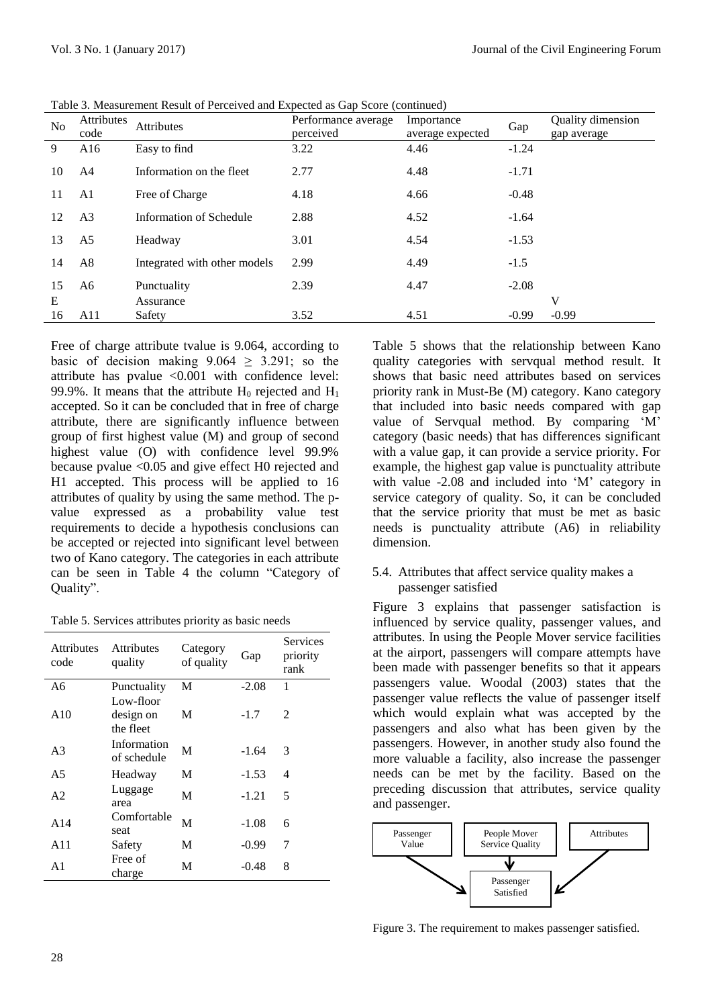| <b>No</b> | <b>Attributes</b><br>code | Attributes                   | Performance average<br>perceived | Importance<br>average expected | Gap     | Quality dimension<br>gap average |
|-----------|---------------------------|------------------------------|----------------------------------|--------------------------------|---------|----------------------------------|
| 9         | A16                       | Easy to find                 | 3.22                             | 4.46                           | $-1.24$ |                                  |
| 10        | A4                        | Information on the fleet     | 2.77                             | 4.48                           | $-1.71$ |                                  |
| 11        | A1                        | Free of Charge               | 4.18                             | 4.66                           | $-0.48$ |                                  |
| 12        | A <sub>3</sub>            | Information of Schedule      | 2.88                             | 4.52                           | $-1.64$ |                                  |
| 13        | A5                        | Headway                      | 3.01                             | 4.54                           | $-1.53$ |                                  |
| 14        | A8                        | Integrated with other models | 2.99                             | 4.49                           | $-1.5$  |                                  |
| 15        | A6                        | Punctuality                  | 2.39                             | 4.47                           | $-2.08$ |                                  |
| E         |                           | Assurance                    |                                  |                                |         | V                                |
| 16        | A11                       | Safety                       | 3.52                             | 4.51                           | $-0.99$ | $-0.99$                          |

Table 3. Measurement Result of Perceived and Expected as Gap Score (continued)

Free of charge attribute tvalue is 9.064, according to basic of decision making  $9.064 > 3.291$ ; so the attribute has pvalue <0.001 with confidence level: 99.9%. It means that the attribute  $H_0$  rejected and  $H_1$ accepted. So it can be concluded that in free of charge attribute, there are significantly influence between group of first highest value (M) and group of second highest value (O) with confidence level 99.9% because pvalue <0.05 and give effect H0 rejected and H1 accepted. This process will be applied to 16 attributes of quality by using the same method. The pvalue expressed as a probability value test requirements to decide a hypothesis conclusions can be accepted or rejected into significant level between two of Kano category. The categories in each attribute can be seen in Table 4 the column "Category of Quality".

Table 5. Services attributes priority as basic needs

| <b>Attributes</b><br>code | <b>Attributes</b><br>quality        | Category<br>of quality | Gap     | Services<br>priority<br>rank |
|---------------------------|-------------------------------------|------------------------|---------|------------------------------|
| A6                        | Punctuality                         | M                      | $-2.08$ | 1                            |
| A10                       | Low-floor<br>design on<br>the fleet | M                      | $-1.7$  | $\mathcal{L}$                |
| A3                        | Information<br>of schedule          | M                      | $-1.64$ | 3                            |
| A <sub>5</sub>            | Headway                             | M                      | $-1.53$ | 4                            |
| A2                        | Luggage<br>area                     | М                      | $-1.21$ | 5                            |
| A14                       | Comfortable<br>seat                 | M                      | $-1.08$ | 6                            |
| A11                       | Safety                              | M                      | $-0.99$ | 7                            |
| A1                        | Free of<br>charge                   | M                      | $-0.48$ | 8                            |

Table 5 shows that the relationship between Kano quality categories with servqual method result. It shows that basic need attributes based on services priority rank in Must-Be (M) category. Kano category that included into basic needs compared with gap value of Servqual method. By comparing 'M' category (basic needs) that has differences significant with a value gap, it can provide a service priority. For example, the highest gap value is punctuality attribute with value -2.08 and included into 'M' category in service category of quality. So, it can be concluded that the service priority that must be met as basic needs is punctuality attribute (A6) in reliability dimension.

## 5.4. Attributes that affect service quality makes a passenger satisfied

Figure 3 explains that passenger satisfaction is influenced by service quality, passenger values, and attributes. In using the People Mover service facilities at the airport, passengers will compare attempts have been made with passenger benefits so that it appears passengers value. Woodal (2003) states that the passenger value reflects the value of passenger itself which would explain what was accepted by the passengers and also what has been given by the passengers. However, in another study also found the more valuable a facility, also increase the passenger needs can be met by the facility. Based on the preceding discussion that attributes, service quality and passenger.



Figure 3. The requirement to makes passenger satisfied.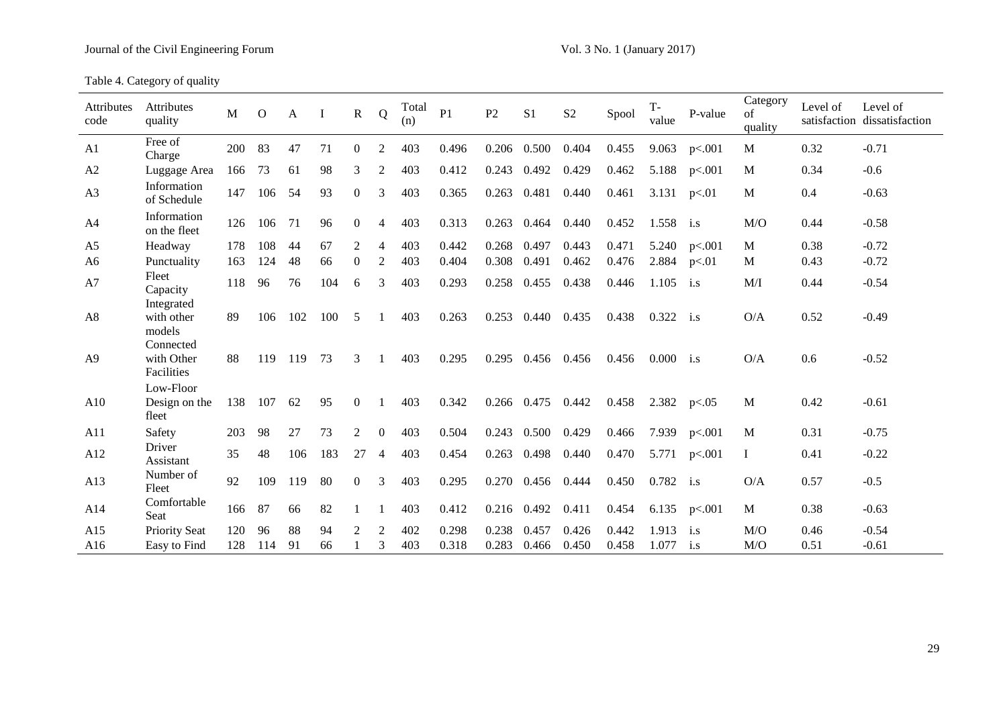Table 4. Category of quality

| Attributes<br>code | Attributes<br>quality                 | $\mathbf{M}$ | $\overline{O}$ | A   | $\bf I$ | $\mathbf R$      | Q              | Total<br>(n) | P1    | P2    | S <sub>1</sub> | S <sub>2</sub> | Spool | $T -$<br>value | P-value                 | Category<br>of<br>quality | Level of | Level of<br>satisfaction dissatisfaction |
|--------------------|---------------------------------------|--------------|----------------|-----|---------|------------------|----------------|--------------|-------|-------|----------------|----------------|-------|----------------|-------------------------|---------------------------|----------|------------------------------------------|
| A1                 | Free of<br>Charge                     | 200          | 83             | 47  | 71      | $\mathbf{0}$     | 2              | 403          | 0.496 | 0.206 | 0.500          | 0.404          | 0.455 | 9.063          | p<.001                  | M                         | 0.32     | $-0.71$                                  |
| A2                 | Luggage Area                          | 166          | 73             | 61  | 98      | 3                | 2              | 403          | 0.412 | 0.243 | 0.492          | 0.429          | 0.462 | 5.188          | p<.001                  | M                         | 0.34     | $-0.6$                                   |
| A3                 | Information<br>of Schedule            | 147          | 106            | 54  | 93      | $\overline{0}$   | 3              | 403          | 0.365 | 0.263 | 0.481          | 0.440          | 0.461 | 3.131          | p<.01                   | $\mathbf{M}$              | 0.4      | $-0.63$                                  |
| A4                 | Information<br>on the fleet           | 126          | 106            | 71  | 96      | $\overline{0}$   | 4              | 403          | 0.313 | 0.263 | 0.464          | 0.440          | 0.452 | 1.558          | $\mathbf{i}.\mathbf{s}$ | M/O                       | 0.44     | $-0.58$                                  |
| A <sub>5</sub>     | Headway                               | 178          | 108            | 44  | 67      | $\overline{2}$   | $\overline{4}$ | 403          | 0.442 | 0.268 | 0.497          | 0.443          | 0.471 | 5.240          | p<.001                  | M                         | 0.38     | $-0.72$                                  |
| A <sub>6</sub>     | Punctuality                           | 163          | 124            | 48  | 66      | $\boldsymbol{0}$ | 2              | 403          | 0.404 | 0.308 | 0.491          | 0.462          | 0.476 | 2.884          | p<.01                   | M                         | 0.43     | $-0.72$                                  |
| A7                 | Fleet<br>Capacity                     | 118          | 96             | 76  | 104     | 6                | 3              | 403          | 0.293 | 0.258 | 0.455          | 0.438          | 0.446 | 1.105          | i.s                     | M/I                       | 0.44     | $-0.54$                                  |
| A <sub>8</sub>     | Integrated<br>with other<br>models    | 89           | 106            | 102 | 100     | 5                | -1             | 403          | 0.263 | 0.253 | 0.440          | 0.435          | 0.438 | 0.322          | $\mathbf{i}.\mathbf{s}$ | O/A                       | 0.52     | $-0.49$                                  |
| A <sup>9</sup>     | Connected<br>with Other<br>Facilities | 88           | 119            | 119 | 73      | 3                |                | 403          | 0.295 | 0.295 | 0.456          | 0.456          | 0.456 | $0.000$ i.s    |                         | O/A                       | 0.6      | $-0.52$                                  |
| A10                | Low-Floor<br>Design on the<br>fleet   | 138          | 107            | 62  | 95      | $\overline{0}$   |                | 403          | 0.342 |       | 0.266 0.475    | 0.442          | 0.458 | 2.382          | p<.05                   | M                         | 0.42     | $-0.61$                                  |
| A11                | Safety                                | 203          | 98             | 27  | 73      | 2                | $\Omega$       | 403          | 0.504 | 0.243 | 0.500          | 0.429          | 0.466 | 7.939          | p<.001                  | M                         | 0.31     | $-0.75$                                  |
| A12                | Driver<br>Assistant                   | 35           | 48             | 106 | 183     | 27               | 4              | 403          | 0.454 | 0.263 | 0.498          | 0.440          | 0.470 | 5.771          | p<.001                  |                           | 0.41     | $-0.22$                                  |
| A13                | Number of<br>Fleet                    | 92           | 109            | 119 | 80      | $\Omega$         | 3              | 403          | 0.295 | 0.270 | 0.456          | 0.444          | 0.450 | 0.782          | i.s                     | O/A                       | 0.57     | $-0.5$                                   |
| A14                | Comfortable<br>Seat                   | 166          | 87             | 66  | 82      |                  |                | 403          | 0.412 | 0.216 | 0.492          | 0.411          | 0.454 |                | 6.135 $p<.001$          | M                         | 0.38     | $-0.63$                                  |
| A15                | <b>Priority Seat</b>                  | 120          | 96             | 88  | 94      | 2                | 2              | 402          | 0.298 | 0.238 | 0.457          | 0.426          | 0.442 | 1.913          | i.s                     | M/O                       | 0.46     | $-0.54$                                  |
| A16                | Easy to Find                          | 128          | 114            | 91  | 66      |                  | 3              | 403          | 0.318 | 0.283 | 0.466          | 0.450          | 0.458 | 1.077          | $\mathbf{i}.\mathbf{s}$ | M/O                       | 0.51     | $-0.61$                                  |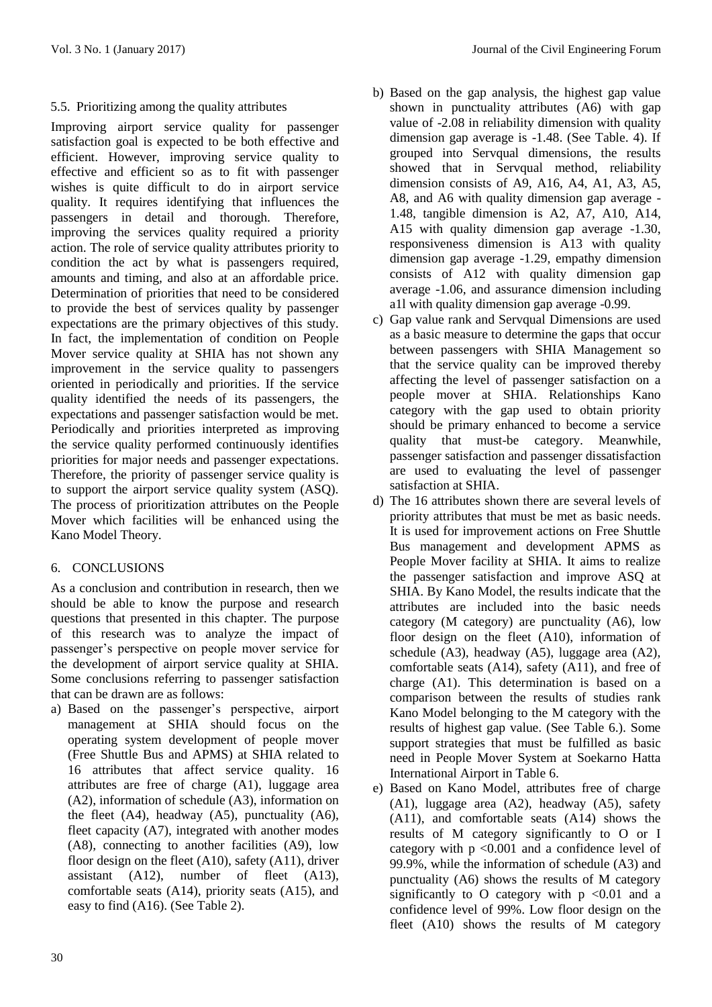# 5.5. Prioritizing among the quality attributes

Improving airport service quality for passenger satisfaction goal is expected to be both effective and efficient. However, improving service quality to effective and efficient so as to fit with passenger wishes is quite difficult to do in airport service quality. It requires identifying that influences the passengers in detail and thorough. Therefore, improving the services quality required a priority action. The role of service quality attributes priority to condition the act by what is passengers required, amounts and timing, and also at an affordable price. Determination of priorities that need to be considered to provide the best of services quality by passenger expectations are the primary objectives of this study. In fact, the implementation of condition on People Mover service quality at SHIA has not shown any improvement in the service quality to passengers oriented in periodically and priorities. If the service quality identified the needs of its passengers, the expectations and passenger satisfaction would be met. Periodically and priorities interpreted as improving the service quality performed continuously identifies priorities for major needs and passenger expectations. Therefore, the priority of passenger service quality is to support the airport service quality system (ASQ). The process of prioritization attributes on the People Mover which facilities will be enhanced using the Kano Model Theory.

# 6. CONCLUSIONS

As a conclusion and contribution in research, then we should be able to know the purpose and research questions that presented in this chapter. The purpose of this research was to analyze the impact of passenger's perspective on people mover service for the development of airport service quality at SHIA. Some conclusions referring to passenger satisfaction that can be drawn are as follows:

a) Based on the passenger's perspective, airport management at SHIA should focus on the operating system development of people mover (Free Shuttle Bus and APMS) at SHIA related to 16 attributes that affect service quality. 16 attributes are free of charge (A1), luggage area (A2), information of schedule (A3), information on the fleet (A4), headway (A5), punctuality (A6), fleet capacity (A7), integrated with another modes (A8), connecting to another facilities (A9), low floor design on the fleet (A10), safety (A11), driver assistant (A12), number of fleet (A13), comfortable seats (A14), priority seats (A15), and easy to find (A16). (See Table 2).

- b) Based on the gap analysis, the highest gap value shown in punctuality attributes (A6) with gap value of -2.08 in reliability dimension with quality dimension gap average is -1.48. (See Table. 4). If grouped into Servqual dimensions, the results showed that in Servqual method, reliability dimension consists of A9, A16, A4, A1, A3, A5, A8, and A6 with quality dimension gap average - 1.48, tangible dimension is A2, A7, A10, A14, A15 with quality dimension gap average -1.30, responsiveness dimension is A13 with quality dimension gap average -1.29, empathy dimension consists of A12 with quality dimension gap average -1.06, and assurance dimension including a1l with quality dimension gap average -0.99.
- c) Gap value rank and Servqual Dimensions are used as a basic measure to determine the gaps that occur between passengers with SHIA Management so that the service quality can be improved thereby affecting the level of passenger satisfaction on a people mover at SHIA. Relationships Kano category with the gap used to obtain priority should be primary enhanced to become a service quality that must-be category. Meanwhile, passenger satisfaction and passenger dissatisfaction are used to evaluating the level of passenger satisfaction at SHIA.
- d) The 16 attributes shown there are several levels of priority attributes that must be met as basic needs. It is used for improvement actions on Free Shuttle Bus management and development APMS as People Mover facility at SHIA. It aims to realize the passenger satisfaction and improve ASQ at SHIA. By Kano Model, the results indicate that the attributes are included into the basic needs category (M category) are punctuality (A6), low floor design on the fleet (A10), information of schedule (A3), headway (A5), luggage area (A2), comfortable seats (A14), safety (A11), and free of charge (A1). This determination is based on a comparison between the results of studies rank Kano Model belonging to the M category with the results of highest gap value. (See Table 6.). Some support strategies that must be fulfilled as basic need in People Mover System at Soekarno Hatta International Airport in Table 6.
- e) Based on Kano Model, attributes free of charge (A1), luggage area (A2), headway (A5), safety (A11), and comfortable seats (A14) shows the results of M category significantly to O or I category with p <0.001 and a confidence level of 99.9%, while the information of schedule (A3) and punctuality (A6) shows the results of M category significantly to O category with  $p \le 0.01$  and a confidence level of 99%. Low floor design on the fleet (A10) shows the results of M category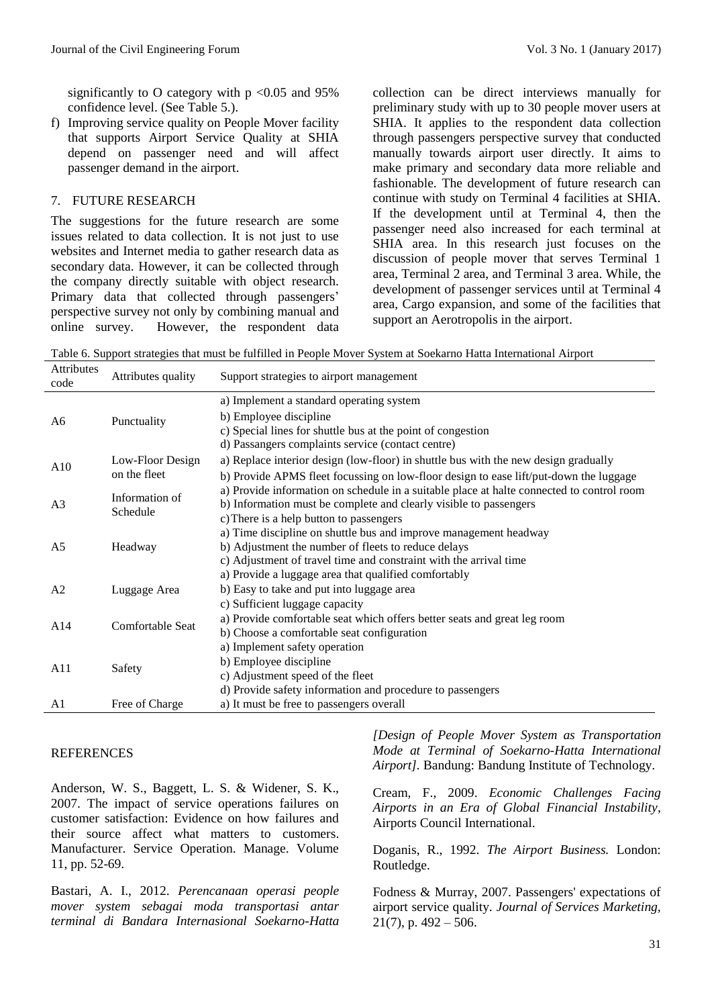significantly to O category with  $p < 0.05$  and 95% confidence level. (See Table 5.).

f) Improving service quality on People Mover facility that supports Airport Service Quality at SHIA depend on passenger need and will affect passenger demand in the airport.

## 7. FUTURE RESEARCH

The suggestions for the future research are some issues related to data collection. It is not just to use websites and Internet media to gather research data as secondary data. However, it can be collected through the company directly suitable with object research. Primary data that collected through passengers' perspective survey not only by combining manual and online survey. However, the respondent data collection can be direct interviews manually for preliminary study with up to 30 people mover users at SHIA. It applies to the respondent data collection through passengers perspective survey that conducted manually towards airport user directly. It aims to make primary and secondary data more reliable and fashionable. The development of future research can continue with study on Terminal 4 facilities at SHIA. If the development until at Terminal 4, then the passenger need also increased for each terminal at SHIA area. In this research just focuses on the discussion of people mover that serves Terminal 1 area, Terminal 2 area, and Terminal 3 area. While, the development of passenger services until at Terminal 4 area, Cargo expansion, and some of the facilities that support an Aerotropolis in the airport.

Table 6. Support strategies that must be fulfilled in People Mover System at Soekarno Hatta International Airport

| <b>Attributes</b><br>code | Attributes quality               | Support strategies to airport management                                                                                                                                                                  |
|---------------------------|----------------------------------|-----------------------------------------------------------------------------------------------------------------------------------------------------------------------------------------------------------|
| A6                        | Punctuality                      | a) Implement a standard operating system<br>b) Employee discipline<br>c) Special lines for shuttle bus at the point of congestion<br>d) Passangers complaints service (contact centre)                    |
| A10                       | Low-Floor Design<br>on the fleet | a) Replace interior design (low-floor) in shuttle bus with the new design gradually<br>b) Provide APMS fleet focussing on low-floor design to ease lift/put-down the luggage                              |
| A <sub>3</sub>            | Information of<br>Schedule       | a) Provide information on schedule in a suitable place at halte connected to control room<br>b) Information must be complete and clearly visible to passengers<br>c) There is a help button to passengers |
| A <sub>5</sub>            | Headway                          | a) Time discipline on shuttle bus and improve management headway<br>b) Adjustment the number of fleets to reduce delays<br>c) Adjustment of travel time and constraint with the arrival time              |
| A2                        | Luggage Area                     | a) Provide a luggage area that qualified comfortably<br>b) Easy to take and put into luggage area<br>c) Sufficient luggage capacity                                                                       |
| A14                       | Comfortable Seat                 | a) Provide comfortable seat which offers better seats and great leg room<br>b) Choose a comfortable seat configuration                                                                                    |
| A11                       | Safety                           | a) Implement safety operation<br>b) Employee discipline<br>c) Adjustment speed of the fleet<br>d) Provide safety information and procedure to passengers                                                  |
| A1                        | Free of Charge                   | a) It must be free to passengers overall                                                                                                                                                                  |

## **REFERENCES**

Anderson, W. S., Baggett, L. S. & Widener, S. K., 2007. The impact of service operations failures on customer satisfaction: Evidence on how failures and their source affect what matters to customers. Manufacturer. Service Operation. Manage. Volume 11, pp. 52-69.

Bastari, A. I., 2012. *Perencanaan operasi people mover system sebagai moda transportasi antar terminal di Bandara Internasional Soekarno-Hatta*  *[Design of People Mover System as Transportation Mode at Terminal of Soekarno-Hatta International Airport].* Bandung: Bandung Institute of Technology.

Cream, F., 2009. *Economic Challenges Facing Airports in an Era of Global Financial Instability*, Airports Council International.

Doganis, R., 1992. *The Airport Business.* London: Routledge.

Fodness & Murray, 2007. Passengers' expectations of airport service quality. *Journal of Services Marketing,*   $21(7)$ , p.  $492 - 506$ .